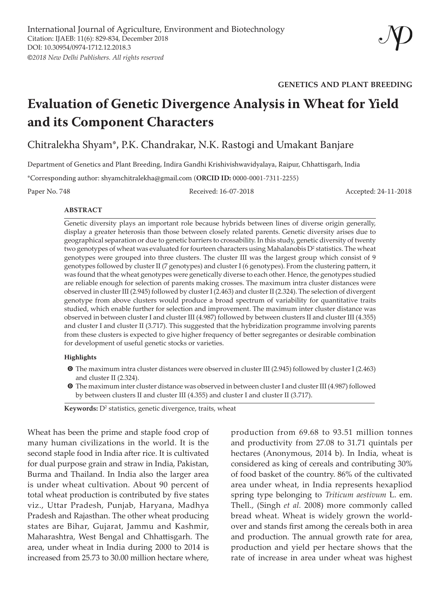**GENETICS AND PLANT BREEDING**

# **Evaluation of Genetic Divergence Analysis in Wheat for Yield and its Component Characters**

Chitralekha Shyam\*, P.K. Chandrakar, N.K. Rastogi and Umakant Banjare

Department of Genetics and Plant Breeding, Indira Gandhi Krishivishwavidyalaya, Raipur, Chhattisgarh, India

\*Corresponding author: shyamchitralekha@gmail.com (**ORCID ID:** 0000-0001-7311-2255)

Paper No. 748 Received: 16-07-2018 Accepted: 24-11-2018

#### **ABSTRACT**

Genetic diversity plays an important role because hybrids between lines of diverse origin generally, display a greater heterosis than those between closely related parents. Genetic diversity arises due to geographical separation or due to genetic barriers to crossability. In this study, genetic diversity of twenty two genotypes of wheat was evaluated for fourteen characters using Mahalanobis  $D^2$  statistics. The wheat genotypes were grouped into three clusters. The cluster III was the largest group which consist of 9 genotypes followed by cluster II (7 genotypes) and cluster I (6 genotypes). From the clustering pattern, it was found that the wheat genotypes were genetically diverse to each other. Hence, the genotypes studied are reliable enough for selection of parents making crosses. The maximum intra cluster distances were observed in cluster III (2.945) followed by cluster I (2.463) and cluster II (2.324). The selection of divergent genotype from above clusters would produce a broad spectrum of variability for quantitative traits studied, which enable further for selection and improvement. The maximum inter cluster distance was observed in between cluster I and cluster III (4.987) followed by between clusters II and cluster III (4.355) and cluster I and cluster II (3.717). This suggested that the hybridization programme involving parents from these clusters is expected to give higher frequency of better segregantes or desirable combination for development of useful genetic stocks or varieties.

#### **Highlights**

- **O** The maximum intra cluster distances were observed in cluster III (2.945) followed by cluster I (2.463) and cluster II (2.324).
- **O** The maximum inter cluster distance was observed in between cluster I and cluster III (4.987) followed by between clusters II and cluster III (4.355) and cluster I and cluster II (3.717).

Keywords: D<sup>2</sup> statistics, genetic divergence, traits, wheat

Wheat has been the prime and staple food crop of many human civilizations in the world. It is the second staple food in India after rice. It is cultivated for dual purpose grain and straw in India, Pakistan, Burma and Thailand. In India also the larger area is under wheat cultivation. About 90 percent of total wheat production is contributed by five states viz., Uttar Pradesh, Punjab, Haryana, Madhya Pradesh and Rajasthan. The other wheat producing states are Bihar, Gujarat, Jammu and Kashmir, Maharashtra, West Bengal and Chhattisgarh. The area, under wheat in India during 2000 to 2014 is increased from 25.73 to 30.00 million hectare where,

production from 69.68 to 93.51 million tonnes and productivity from 27.08 to 31.71 quintals per hectares (Anonymous, 2014 b). In India, wheat is considered as king of cereals and contributing 30% of food basket of the country. 86% of the cultivated area under wheat, in India represents hexapliod spring type belonging to *Triticum aestivum* L. em. Thell., (Singh *et al.* 2008) more commonly called bread wheat. Wheat is widely grown the worldover and stands first among the cereals both in area and production. The annual growth rate for area, production and yield per hectare shows that the rate of increase in area under wheat was highest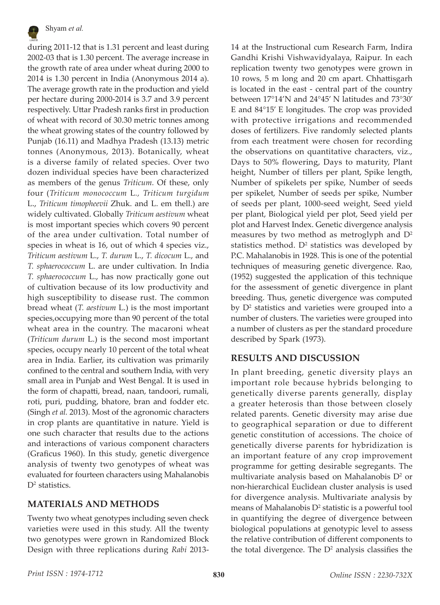

during 2011-12 that is 1.31 percent and least during 2002-03 that is 1.30 percent. The average increase in the growth rate of area under wheat during 2000 to 2014 is 1.30 percent in India (Anonymous 2014 a). The average growth rate in the production and yield per hectare during 2000-2014 is 3.7 and 3.9 percent respectively. Uttar Pradesh ranks first in production of wheat with record of 30.30 metric tonnes among the wheat growing states of the country followed by Punjab (16.11) and Madhya Pradesh (13.13) metric tonnes (Anonymous, 2013). Botanically, wheat is a diverse family of related species. Over two dozen individual species have been characterized as members of the genus *Triticum.* Of these, only four (*Triticum monococcum* L*., Triticum turgidum*  L., *Triticum timopheevii* Zhuk. and L. em thell.) are widely cultivated. Globally *Triticum aestivum* wheat is most important species which covers 90 percent of the area under cultivation. Total number of species in wheat is 16, out of which 4 species viz., *Triticum aestivum* L., *T. durum* L., *T. dicocum* L., and *T. sphaerococcum* L. are under cultivation. In India *T. sphaerococcum* L., has now practically gone out of cultivation because of its low productivity and high susceptibility to disease rust. The common bread wheat (*T. aestivum* L.) is the most important species,occupying more than 90 percent of the total wheat area in the country. The macaroni wheat (*Triticum durum* L.) is the second most important species, occupy nearly 10 percent of the total wheat area in India. Earlier, its cultivation was primarily confined to the central and southern India, with very small area in Punjab and West Bengal. It is used in the form of chapatti, bread, naan, tandoori, rumali, roti, puri, pudding, bhatore, bran and fodder etc. (Singh *et al.* 2013). Most of the agronomic characters in crop plants are quantitative in nature. Yield is one such character that results due to the actions and interactions of various component characters (Graficus 1960). In this study, genetic divergence analysis of twenty two genotypes of wheat was evaluated for fourteen characters using Mahalanobis  $D^2$  statistics.

# **MATERIALS AND METHODS**

Twenty two wheat genotypes including seven check varieties were used in this study. All the twenty two genotypes were grown in Randomized Block Design with three replications during *Rabi* 201314 at the Instructional cum Research Farm, Indira Gandhi Krishi Vishwavidyalaya, Raipur. In each replication twenty two genotypes were grown in 10 rows, 5 m long and 20 cm apart. Chhattisgarh is located in the east - central part of the country between 17°14'N and 24°45' N latitudes and 73°30' E and 84°15' E longitudes. The crop was provided with protective irrigations and recommended doses of fertilizers. Five randomly selected plants from each treatment were chosen for recording the observations on quantitative characters, viz., Days to 50% flowering, Days to maturity, Plant height, Number of tillers per plant, Spike length, Number of spikelets per spike, Number of seeds per spikelet, Number of seeds per spike, Number of seeds per plant, 1000-seed weight, Seed yield per plant, Biological yield per plot, Seed yield per plot and Harvest Index. Genetic divergence analysis measures by two method as metroglyph and D2 statistics method.  $D^2$  statistics was developed by P.C. Mahalanobis in 1928. This is one of the potential techniques of measuring genetic divergence. Rao, (1952) suggested the application of this technique for the assessment of genetic divergence in plant breeding. Thus, genetic divergence was computed by D2 statistics and varieties were grouped into a number of clusters. The varieties were grouped into a number of clusters as per the standard procedure described by Spark (1973).

# **RESULTS AND DISCUSSION**

In plant breeding, genetic diversity plays an important role because hybrids belonging to genetically diverse parents generally, display a greater heterosis than those between closely related parents. Genetic diversity may arise due to geographical separation or due to different genetic constitution of accessions. The choice of genetically diverse parents for hybridization is an important feature of any crop improvement programme for getting desirable segregants. The multivariate analysis based on Mahalanobis  $D^2$  or non-hierarchical Euclidean cluster analysis is used for divergence analysis. Multivariate analysis by means of Mahalanobis D<sup>2</sup> statistic is a powerful tool in quantifying the degree of divergence between biological populations at genotypic level to assess the relative contribution of different components to the total divergence. The  $D<sup>2</sup>$  analysis classifies the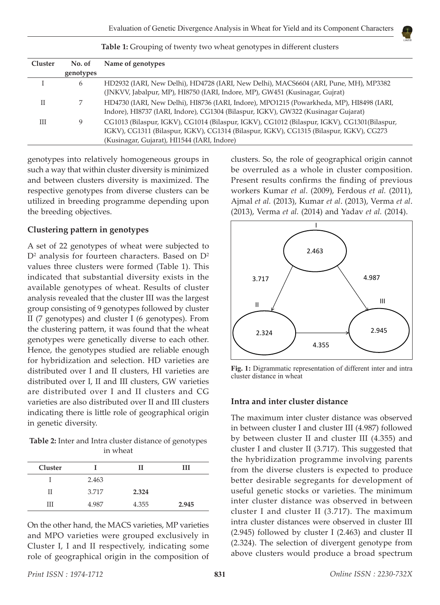| <b>Cluster</b> | No. of    | Name of genotypes                                                                                                                                                                                                                      |
|----------------|-----------|----------------------------------------------------------------------------------------------------------------------------------------------------------------------------------------------------------------------------------------|
|                | genotypes |                                                                                                                                                                                                                                        |
|                | 6         | HD2932 (IARI, New Delhi), HD4728 (IARI, New Delhi), MACS6604 (ARI, Pune, MH), MP3382<br>(JNKVV, Jabalpur, MP), HI8750 (IARI, Indore, MP), GW451 (Kusinagar, Gujrat)                                                                    |
| П              |           | HD4730 (IARI, New Delhi), HI8736 (IARI, Indore), MPO1215 (Powarkheda, MP), HI8498 (IARI,<br>Indore), HI8737 (IARI, Indore), CG1304 (Bilaspur, IGKV), GW322 (Kusinagar Gujarat)                                                         |
| Ш              | 9         | CG1013 (Bilaspur, IGKV), CG1014 (Bilaspur, IGKV), CG1012 (Bilaspur, IGKV), CG1301 (Bilaspur,<br>IGKV), CG1311 (Bilaspur, IGKV), CG1314 (Bilaspur, IGKV), CG1315 (Bilaspur, IGKV), CG273<br>(Kusinagar, Gujarat), HI1544 (IARI, Indore) |

**Table 1:** Grouping of twenty two wheat genotypes in different clusters

genotypes into relatively homogeneous groups in such a way that within cluster diversity is minimized and between clusters diversity is maximized. The respective genotypes from diverse clusters can be utilized in breeding programme depending upon the breeding objectives.

## **Clustering pattern in genotypes**

A set of 22 genotypes of wheat were subjected to  $D^2$  analysis for fourteen characters. Based on  $D^2$ values three clusters were formed (Table 1). This indicated that substantial diversity exists in the available genotypes of wheat. Results of cluster analysis revealed that the cluster III was the largest group consisting of 9 genotypes followed by cluster II (7 genotypes) and cluster I (6 genotypes). From the clustering pattern, it was found that the wheat genotypes were genetically diverse to each other. Hence, the genotypes studied are reliable enough for hybridization and selection. HD varieties are distributed over I and II clusters, HI varieties are distributed over I, II and III clusters, GW varieties are distributed over I and II clusters and CG varieties are also distributed over II and III clusters indicating there is little role of geographical origin in genetic diversity.

**Table 2:** Inter and Intra cluster distance of genotypes in wheat

| <b>Cluster</b> |       | Н     | ш     |
|----------------|-------|-------|-------|
|                | 2.463 |       |       |
| Н              | 3.717 | 2.324 |       |
| Ш              | 4.987 | 4.355 | 2.945 |

On the other hand, the MACS varieties, MP varieties and MPO varieties were grouped exclusively in Cluster I, I and II respectively, indicating some role of geographical origin in the composition of clusters. So, the role of geographical origin cannot be overruled as a whole in cluster composition. Present results confirms the finding of previous workers Kumar *et al*. (2009), Ferdous *et al.* (2011), Ajmal *et al.* (2013), Kumar *et al*. (2013), Verma *et al*. (2013), Verma *et al.* (2014) and Yadav *et al.* (2014).



**Fig. 1:** Digrammatic representation of different inter and intra cluster distance in wheat

## **Intra and inter cluster distance**

The maximum inter cluster distance was observed in between cluster I and cluster III (4.987) followed by between cluster II and cluster III (4.355) and cluster I and cluster II (3.717). This suggested that the hybridization programme involving parents from the diverse clusters is expected to produce better desirable segregants for development of useful genetic stocks or varieties. The minimum inter cluster distance was observed in between cluster I and cluster II (3.717). The maximum intra cluster distances were observed in cluster III (2.945) followed by cluster I (2.463) and cluster II (2.324). The selection of divergent genotype from above clusters would produce a broad spectrum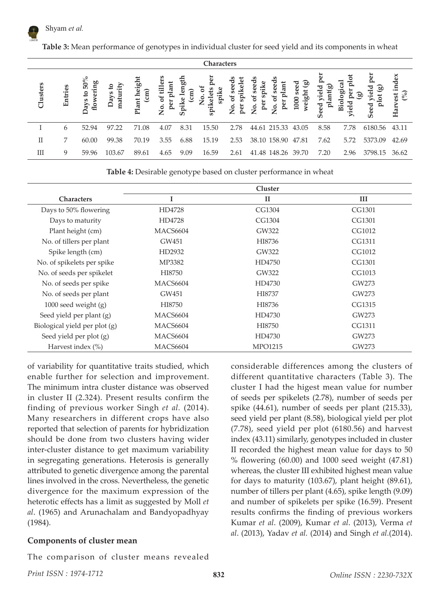

**Table 3:** Mean performance of genotypes in individual cluster for seed yield and its components in wheat

| <b>Characters</b> |         |                                       |                  |                                                                |                                                  |                  |                            |                                   |                                                 |                            |                               |                            |                    |                             |
|-------------------|---------|---------------------------------------|------------------|----------------------------------------------------------------|--------------------------------------------------|------------------|----------------------------|-----------------------------------|-------------------------------------------------|----------------------------|-------------------------------|----------------------------|--------------------|-----------------------------|
| Clusters          | Entries | 50%<br>flowering<br>S,<br><b>Pays</b> | maturity<br>Days | lant heigh<br>$\widehat{\text{cm}}$<br>$\overline{\mathbf{r}}$ | ä<br>ੜ<br>目<br>.<br>م<br>$\mathsf{\Sigma}^\circ$ | eth<br>٥<br>Spik | J<br>듮<br>⇁<br>$9^{\circ}$ | ᆷ<br>ه<br>ā<br>2°<br>$\mathbf{p}$ | eds<br>පි<br>eē<br>ه<br>pe)<br>υ<br>ż<br>ڣ<br>P | ම<br>eed<br>weight<br>1000 | ळ<br>ᇹ<br>ಸ<br>π<br>eed<br>ဖာ | īq<br>ᇰ<br>ä<br><u>nei</u> | per<br>ōÇ,<br>Seed | index<br>(%)<br>est<br>Harv |
|                   | 6       | 52.94                                 | 97.22            | 71.08                                                          | 4.07                                             | 8.31             | 15.50                      | 2.78                              | 44.61 215.33                                    | 43.05                      | 8.58                          | 7.78                       | 6180.56            | 43.11                       |
| Π                 | 7       | 60.00                                 | 99.38            | 70.19                                                          | 3.55                                             | 6.88             | 15.19                      | 2.53                              | 38.10 158.90                                    | 47.81                      | 7.62                          | 5.72                       | 5373.09            | 42.69                       |
| Ш                 | 9       | 59.96                                 | 103.67           | 89.61                                                          | 4.65                                             | 9.09             | 16.59                      | 2.61                              | 41.48<br>148.26                                 | 39.70                      | 7.20                          | 2.96                       | 3798.15            | 36.62                       |

**Table 4:** Desirable genotype based on cluster performance in wheat

| <b>Characters</b>             | I               | $_{\rm II}$    | III    |
|-------------------------------|-----------------|----------------|--------|
| Days to 50% flowering         | HD4728          | CG1304         | CG1301 |
| Days to maturity              | HD4728          | CG1304         | CG1301 |
| Plant height (cm)             | MACS6604        | GW322          | CG1012 |
| No. of tillers per plant      | GW451           | HI8736         | CG1311 |
| Spike length (cm)             | HD2932          | GW322          | CG1012 |
| No. of spikelets per spike    | MP3382          | HD4750         | CG1301 |
| No. of seeds per spikelet     | HI8750          | GW322          | CG1013 |
| No. of seeds per spike        | MACS6604        | HD4730         | GW273  |
| No. of seeds per plant        | GW451           | HI8737         | GW273  |
| $1000$ seed weight $(g)$      | HI8750          | HI8736         | CG1315 |
| Seed yield per plant (g)      | MACS6604        | HD4730         | GW273  |
| Biological yield per plot (g) | <b>MACS6604</b> | HI8750         | CG1311 |
| Seed yield per plot (g)       | MACS6604        | HD4730         | GW273  |
| Harvest index (%)             | MACS6604        | <b>MPO1215</b> | GW273  |

of variability for quantitative traits studied, which enable further for selection and improvement. The minimum intra cluster distance was observed in cluster II (2.324). Present results confirm the finding of previous worker Singh *et al.* (2014). Many researchers in different crops have also reported that selection of parents for hybridization should be done from two clusters having wider inter-cluster distance to get maximum variability in segregating generations. Heterosis is generally attributed to genetic divergence among the parental lines involved in the cross. Nevertheless, the genetic divergence for the maximum expression of the heterotic effects has a limit as suggested by Moll *et al*. (1965) and Arunachalam and Bandyopadhyay (1984).

#### **Components of cluster mean**

The comparison of cluster means revealed

considerable differences among the clusters of different quantitative characters (Table 3). The cluster I had the higest mean value for number of seeds per spikelets (2.78), number of seeds per spike (44.61), number of seeds per plant (215.33), seed yield per plant (8.58), biological yield per plot (7.78), seed yield per plot (6180.56) and harvest index (43.11) similarly, genotypes included in cluster II recorded the highest mean value for days to 50 % flowering (60.00) and 1000 seed weight (47.81) whereas, the cluster III exhibited highest mean value for days to maturity (103.67), plant height (89.61), number of tillers per plant (4.65), spike length (9.09) and number of spikelets per spike (16.59). Present results confirms the finding of previous workers Kumar *et al*. (2009), Kumar *et al*. (2013), Verma *et al*. (2013), Yadav *et al.* (2014) and Singh *et al.*(2014).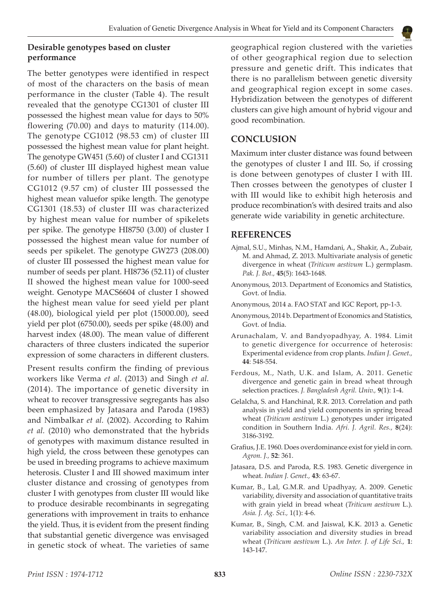## **Desirable genotypes based on cluster performance**

The better genotypes were identified in respect of most of the characters on the basis of mean performance in the cluster (Table 4). The result revealed that the genotype CG1301 of cluster III possessed the highest mean value for days to 50% flowering (70.00) and days to maturity (114.00). The genotype CG1012 (98.53 cm) of cluster III possessed the highest mean value for plant height. The genotype GW451 (5.60) of cluster I and CG1311 (5.60) of cluster III displayed highest mean value for number of tillers per plant. The genotype CG1012 (9.57 cm) of cluster III possessed the highest mean valuefor spike length. The genotype CG1301 (18.53) of cluster III was characterized by highest mean value for number of spikelets per spike. The genotype HI8750 (3.00) of cluster I possessed the highest mean value for number of seeds per spikelet. The genotype GW273 (208.00) of cluster III possessed the highest mean value for number of seeds per plant. HI8736 (52.11) of cluster II showed the highest mean value for 1000-seed weight. Genotype MACS6604 of cluster I showed the highest mean value for seed yield per plant (48.00), biological yield per plot (15000.00), seed yield per plot (6750.00), seeds per spike (48.00) and harvest index (48.00). The mean value of different characters of three clusters indicated the superior expression of some characters in different clusters.

Present results confirm the finding of previous workers like Verma *et al*. (2013) and Singh *et al.*  (2014). The importance of genetic diversity in wheat to recover transgressive segregants has also been emphasized by Jatasara and Paroda (1983) and Nimbalkar *et al.* (2002). According to Rahim *et al.* (2010) who demonstrated that the hybrids of genotypes with maximum distance resulted in high yield, the cross between these genotypes can be used in breeding programs to achieve maximum heterosis. Cluster I and III showed maximum inter cluster distance and crossing of genotypes from cluster I with genotypes from cluster III would like to produce desirable recombinants in segregating generations with improvement in traits to enhance the yield. Thus, it is evident from the present finding that substantial genetic divergence was envisaged in genetic stock of wheat. The varieties of same

geographical region clustered with the varieties of other geographical region due to selection pressure and genetic drift. This indicates that there is no parallelism between genetic diversity and geographical region except in some cases. Hybridization between the genotypes of different clusters can give high amount of hybrid vigour and good recombination.

# **CONCLUSION**

Maximum inter cluster distance was found between the genotypes of cluster I and III. So, if crossing is done between genotypes of cluster I with III. Then crosses between the genotypes of cluster I with III would like to exhibit high heterosis and produce recombination's with desired traits and also generate wide variability in genetic architecture.

#### **REFERENCES**

- Ajmal, S.U., Minhas, N.M., Hamdani, A., Shakir, A., Zubair, M. and Ahmad, Z. 2013. Multivariate analysis of genetic divergence in wheat (*Triticum aestivum* L.) germplasm. *Pak. J. Bot.,* **45**(5): 1643-1648.
- Anonymous, 2013. Department of Economics and Statistics, Govt. of India.
- Anonymous, 2014 a. FAO STAT and IGC Report, pp-1-3.
- Anonymous, 2014 b. Department of Economics and Statistics, Govt. of India.
- Arunachalam, V. and Bandyopadhyay, A. 1984. Limit to genetic divergence for occurrence of heterosis: Experimental evidence from crop plants. *Indian J. Genet.,*  **44**: 548-554.
- Ferdous, M., Nath, U.K. and Islam, A. 2011. Genetic divergence and genetic gain in bread wheat through selection practices. *J. Bangladesh Agril. Univ.,* **9**(1): 1-4.
- Gelalcha, S. and Hanchinal, R.R. 2013. Correlation and path analysis in yield and yield components in spring bread wheat (*Triticum aestivum* L.) genotypes under irrigated condition in Southern India. *Afri. J. Agril. Res.,* **8**(24): 3186-3192.
- Grafius, J.E. 1960. Does overdominance exist for yield in corn. *Agron. J.,* **52**: 361.
- Jatasara, D.S. and Paroda, R.S. 1983. Genetic divergence in wheat. *Indian J. Genet.,* **43**: 63-67.
- Kumar, B., Lal, G.M.R. and Upadhyay, A. 2009. Genetic variability, diversity and association of quantitative traits with grain yield in bread wheat (*Triticum aestivum* L.). *Asia. J. Ag. Sci.,* 1(1): 4-6.
- Kumar, B., Singh, C.M. and Jaiswal, K.K. 2013 a. Genetic variability association and diversity studies in bread wheat (*Triticum aestivum* L.). *An Inter. J. of Life Sci.,* **1**: 143-147.